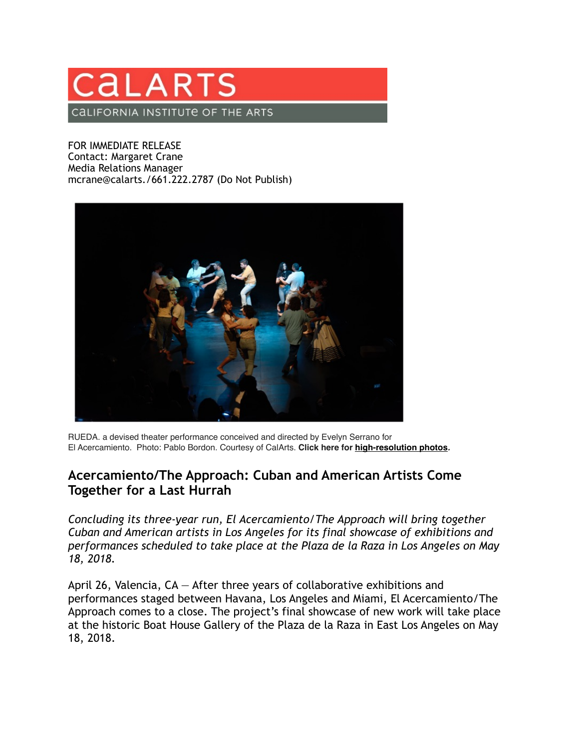## CALAR<sup>®</sup> CALIFORNIA INSTITUTE OF THE ARTS

FOR IMMEDIATE RELEASE Contact: Margaret Crane Media Relations Manager mcrane@calarts./661.222.2787 (Do Not Publish)



RUEDA. a devised theater performance conceived and directed by Evelyn Serrano for El Acercamiento. Photo: Pablo Bordon. Courtesy of CalArts. **Click here for [high-resolution photos](https://drive.google.com/drive/folders/1Uk-BmE2aGZIXoWsaFdB1xdb6j6gzUXmw?usp=sharing)***.*

## **Acercamiento/The Approach: Cuban and American Artists Come Together for a Last Hurrah**

*Concluding its three-year run, El Acercamiento/The Approach will bring together Cuban and American artists in Los Angeles for its final showcase of exhibitions and performances scheduled to take place at the Plaza de la Raza in Los Angeles on May 18, 2018.*

April 26, Valencia, CA — After three years of collaborative exhibitions and performances staged between Havana, Los Angeles and Miami, El Acercamiento/The Approach comes to a close. The project's final showcase of new work will take place at the historic Boat House Gallery of the Plaza de la Raza in East Los Angeles on May 18, 2018.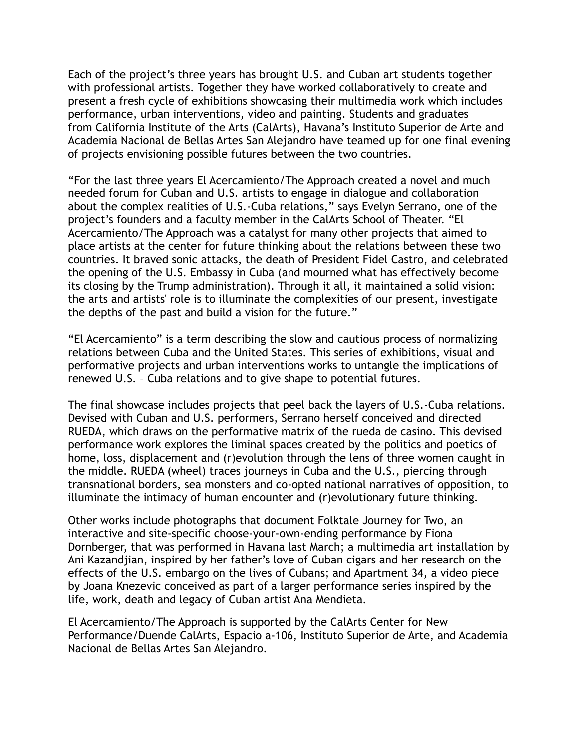Each of the project's three years has brought U.S. and Cuban art students together with professional artists. Together they have worked collaboratively to create and present a fresh cycle of exhibitions showcasing their multimedia work which includes performance, urban interventions, video and painting. Students and graduates from California Institute of the Arts (CalArts), Havana's Instituto Superior de Arte and Academia Nacional de Bellas Artes San Alejandro have teamed up for one final evening of projects envisioning possible futures between the two countries.

"For the last three years El Acercamiento/The Approach created a novel and much needed forum for Cuban and U.S. artists to engage in dialogue and collaboration about the complex realities of U.S.-Cuba relations," says Evelyn Serrano, one of the project's founders and a faculty member in the CalArts School of Theater. "El Acercamiento/The Approach was a catalyst for many other projects that aimed to place artists at the center for future thinking about the relations between these two countries. It braved sonic attacks, the death of President Fidel Castro, and celebrated the opening of the U.S. Embassy in Cuba (and mourned what has effectively become its closing by the Trump administration). Through it all, it maintained a solid vision: the arts and artists' role is to illuminate the complexities of our present, investigate the depths of the past and build a vision for the future."

"El Acercamiento" is a term describing the slow and cautious process of normalizing relations between Cuba and the United States. This series of exhibitions, visual and performative projects and urban interventions works to untangle the implications of renewed U.S. – Cuba relations and to give shape to potential futures.

The final showcase includes projects that peel back the layers of U.S.-Cuba relations. Devised with Cuban and U.S. performers, Serrano herself conceived and directed RUEDA, which draws on the performative matrix of the rueda de casino. This devised performance work explores the liminal spaces created by the politics and poetics of home, loss, displacement and (r)evolution through the lens of three women caught in the middle. RUEDA (wheel) traces journeys in Cuba and the U.S., piercing through transnational borders, sea monsters and co-opted national narratives of opposition, to illuminate the intimacy of human encounter and (r)evolutionary future thinking.

Other works include photographs that document Folktale Journey for Two, an interactive and site-specific choose-your-own-ending performance by Fiona Dornberger, that was performed in Havana last March; a multimedia art installation by Ani Kazandjian, inspired by her father's love of Cuban cigars and her research on the effects of the U.S. embargo on the lives of Cubans; and Apartment 34, a video piece by Joana Knezevic conceived as part of a larger performance series inspired by the life, work, death and legacy of Cuban artist Ana Mendieta.

El Acercamiento/The Approach is supported by the CalArts Center for New Performance/Duende CalArts, Espacio a-106, Instituto Superior de Arte, and Academia Nacional de Bellas Artes San Alejandro.